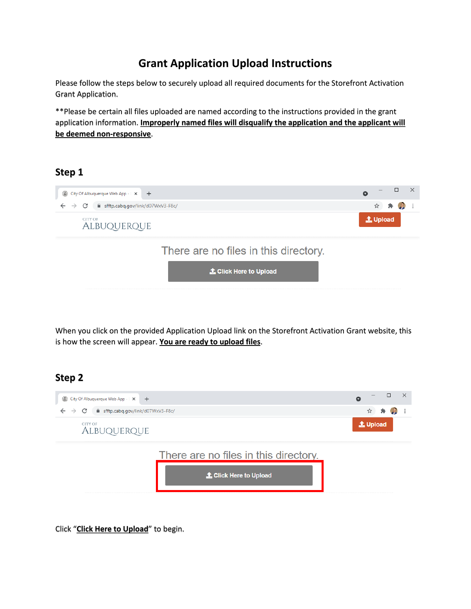# **Grant Application Upload Instructions**

Please follow the steps below to securely upload all required documents for the Storefront Activation Grant Application.

\*\*Please be certain all files uploaded are named according to the instructions provided in the grant application information. **Improperly named files will disqualify the application and the applicant will be deemed non-responsive**.

#### **Step 1**



When you click on the provided Application Upload link on the Storefront Activation Grant website, this is how the screen will appear. **You are ready to upload files**.

#### **Step 2**



Click "**Click Here to Upload**" to begin.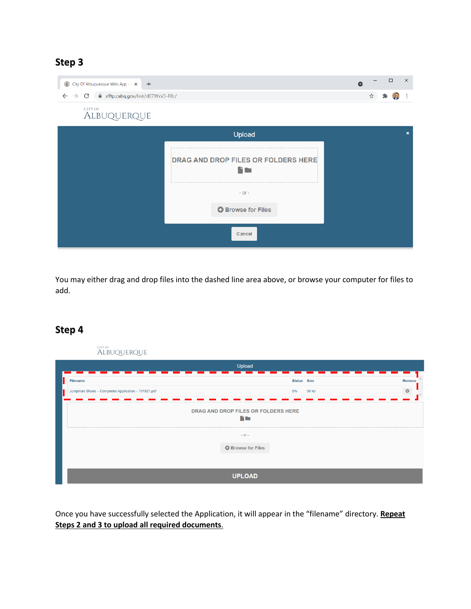### **Step 3**

| City Of Albuquerque Web App -   X +                                        |                                          | $\times$<br>$\Box$<br>$\bullet$ |
|----------------------------------------------------------------------------|------------------------------------------|---------------------------------|
| fil sfftp.cabq.gov/link/d07WxV3-F8c/<br>$\rightarrow$<br>C<br>$\leftarrow$ |                                          | ☆                               |
| CITY OF<br>ALBUQUERQUE                                                     |                                          |                                 |
|                                                                            | Upload                                   | $\mathbf{x}$                    |
|                                                                            | DRAG AND DROP FILES OR FOLDERS HERE<br>n |                                 |
|                                                                            | $-$ OF $-$                               |                                 |
|                                                                            | <b>O</b> Browse for Files                |                                 |
|                                                                            | Cancel                                   |                                 |

You may either drag and drop files into the dashed line area above, or browse your computer for files to add.

#### **Step 4**

| city of<br>ALBUQUERQUE                             |                                             |                       |
|----------------------------------------------------|---------------------------------------------|-----------------------|
|                                                    | Upload                                      |                       |
| Filename                                           | Status Size                                 | Remove                |
| Jumpman Shoes - Completed Application - 101921.pdf | 59 kb<br>$0\%$                              | $\boldsymbol{\omega}$ |
|                                                    | DRAG AND DROP FILES OR FOLDERS HERE<br>n an |                       |
|                                                    | $-$ or $-$<br><b>O</b> Browse for Files     |                       |
|                                                    | <b>UPLOAD</b>                               |                       |

Once you have successfully selected the Application, it will appear in the "filename" directory. **Repeat Steps 2 and 3 to upload all required documents**.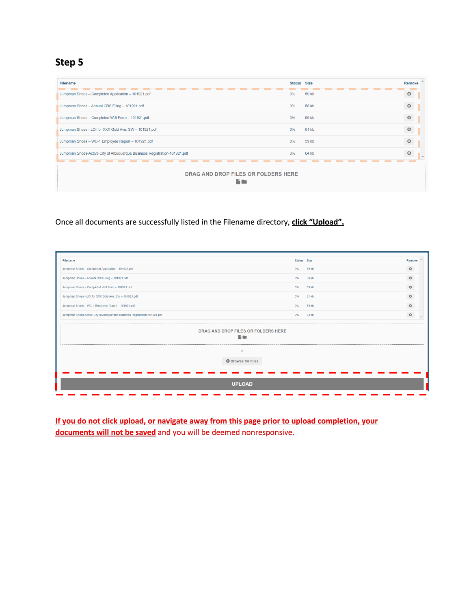**Step 5**

| <b>Filename</b>                                                           | <b>Status</b> Size |       | <b>Remove</b>         |
|---------------------------------------------------------------------------|--------------------|-------|-----------------------|
| Jumpman Shoes - Completed Application - 101921.pdf                        | 0%                 | 59 kb | O                     |
| Jumpman Shoes - Annual CRS Filing - 101921.pdf                            | 0%                 | 58 kb | O                     |
| Jumpman Shoes - Completed W-9 Form - 101921.pdf                           | 0%                 | 59 kb | o                     |
| Jumpman Shoes - LOI for XXX Gold Ave. SW - 101921.pdf                     | 0%                 | 61 kb | $\boldsymbol{\Omega}$ |
| Jumpman Shoes - WC-1 Employee Report - 101921.pdf                         | 0%                 | 59 kb | $\bullet$             |
| Jumpman Shoes-Active City of Albuquerque Business Registration-101921.pdf | 0%                 | 64 kb | O                     |
| DRAG AND DROP FILES OR FOLDERS HERE                                       |                    |       |                       |

Once all documents are successfully listed in the Filename directory, **click "Upload".**

| Filename                                                                  |                                             | Status Size | Remove    |
|---------------------------------------------------------------------------|---------------------------------------------|-------------|-----------|
| Jumpman Shoes - Completed Application - 101921.pdf                        | 0%                                          | 59 kb       | $\bullet$ |
| Jumpman Shoes - Annual CRS Filing - 101921.pdf                            | 0%                                          | 58 kb       | $\bullet$ |
| Jumpman Shoes - Completed W-9 Form - 101921.pdf                           | 0%                                          | 59 kb       | $\bullet$ |
| Jumpman Shoes - LOI for XXX Gold Ave. SW - 101921.pdf                     | 0%                                          | 61 kb       | $\circ$   |
| Jumpman Shoes - WC-1 Employee Report - 101921.pdf                         | 0%                                          | 59 kb       | $\bullet$ |
| Jumpman Shoes-Active City of Albuquerque Business Registration-101921.pdf | 0%                                          | 64 kb       | $\circ$   |
|                                                                           | DRAG AND DROP FILES OR FOLDERS HERE<br>n an |             |           |
|                                                                           | $-$ OF $-$                                  |             |           |
|                                                                           | <b>O</b> Browse for Files                   |             |           |
|                                                                           |                                             |             |           |
|                                                                           | <b>UPLOAD</b>                               |             |           |

**If you do not click upload, or navigate away from this page prior to upload completion, your documents will not be saved** and you will be deemed nonresponsive.